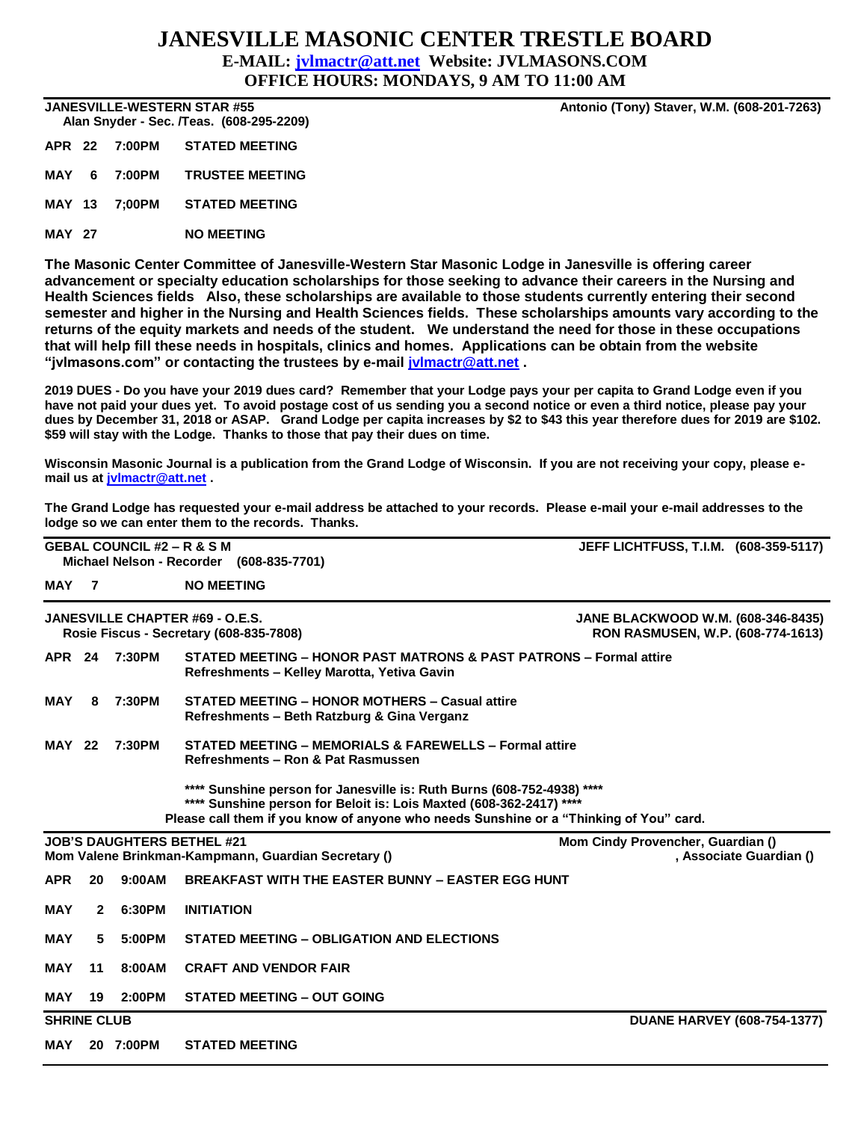## **JANESVILLE MASONIC CENTER TRESTLE BOARD E-MAIL: [jvlmactr@att.net](mailto:jvlmactr@att.net) Website: JVLMASONS.COM OFFICE HOURS: MONDAYS, 9 AM TO 11:00 AM**

 **Alan Snyder - Sec. /Teas. (608-295-2209)** 

**APR 22 7:00PM STATED MEETING**

**MAY 6 7:00PM TRUSTEE MEETING**

**MAY 13 7;00PM STATED MEETING**

**MAY 27 NO MEETING**

**The Masonic Center Committee of Janesville-Western Star Masonic Lodge in Janesville is offering career advancement or specialty education scholarships for those seeking to advance their careers in the Nursing and Health Sciences fields Also, these scholarships are available to those students currently entering their second semester and higher in the Nursing and Health Sciences fields. These scholarships amounts vary according to the returns of the equity markets and needs of the student. We understand the need for those in these occupations that will help fill these needs in hospitals, clinics and homes. Applications can be obtain from the website "jvlmasons.com" or contacting the trustees by e-mail [jvlmactr@att.net](mailto:jvlmactr@att.net) .**

**2019 DUES - Do you have your 2019 dues card? Remember that your Lodge pays your per capita to Grand Lodge even if you have not paid your dues yet. To avoid postage cost of us sending you a second notice or even a third notice, please pay your dues by December 31, 2018 or ASAP. Grand Lodge per capita increases by \$2 to \$43 this year therefore dues for 2019 are \$102. \$59 will stay with the Lodge. Thanks to those that pay their dues on time.**

**Wisconsin Masonic Journal is a publication from the Grand Lodge of Wisconsin. If you are not receiving your copy, please email us at [jvlmactr@att.net](mailto:jvlmactr@att.net) .**

**The Grand Lodge has requested your e-mail address be attached to your records. Please e-mail your e-mail addresses to the lodge so we can enter them to the records. Thanks.**

|                    |                | <b>GEBAL COUNCIL #2 – R &amp; S M</b><br>Michael Nelson - Recorder (608-835-7701) | <b>JEFF LICHTFUSS, T.I.M. (608-359-5117)</b>                                                                                                                                                                                            |                                                                                |  |  |
|--------------------|----------------|-----------------------------------------------------------------------------------|-----------------------------------------------------------------------------------------------------------------------------------------------------------------------------------------------------------------------------------------|--------------------------------------------------------------------------------|--|--|
| MAY                | $\overline{7}$ |                                                                                   | <b>NO MEETING</b>                                                                                                                                                                                                                       |                                                                                |  |  |
|                    |                |                                                                                   | JANESVILLE CHAPTER #69 - O.E.S.<br>Rosie Fiscus - Secretary (608-835-7808)                                                                                                                                                              | <b>JANE BLACKWOOD W.M. (608-346-8435)</b><br>RON RASMUSEN, W.P. (608-774-1613) |  |  |
| <b>APR 24</b>      |                | 7:30PM                                                                            | STATED MEETING - HONOR PAST MATRONS & PAST PATRONS - Formal attire<br>Refreshments - Kelley Marotta, Yetiva Gavin                                                                                                                       |                                                                                |  |  |
| MAY                | 8              | 7:30PM                                                                            | STATED MEETING - HONOR MOTHERS - Casual attire<br>Refreshments - Beth Ratzburg & Gina Verganz                                                                                                                                           |                                                                                |  |  |
| <b>MAY 22</b>      |                | 7:30PM                                                                            | STATED MEETING - MEMORIALS & FAREWELLS - Formal attire<br>Refreshments - Ron & Pat Rasmussen                                                                                                                                            |                                                                                |  |  |
|                    |                |                                                                                   | **** Sunshine person for Janesville is: Ruth Burns (608-752-4938) ****<br>**** Sunshine person for Beloit is: Lois Maxted (608-362-2417) ****<br>Please call them if you know of anyone who needs Sunshine or a "Thinking of You" card. |                                                                                |  |  |
|                    |                |                                                                                   | <b>JOB'S DAUGHTERS BETHEL #21</b><br>Mom Valene Brinkman-Kampmann, Guardian Secretary ()                                                                                                                                                | Mom Cindy Provencher, Guardian ()<br>, Associate Guardian ()                   |  |  |
| <b>APR</b>         | 20             | 9:00AM                                                                            | <b>BREAKFAST WITH THE EASTER BUNNY - EASTER EGG HUNT</b>                                                                                                                                                                                |                                                                                |  |  |
| <b>MAY</b>         | 2              | 6:30PM                                                                            | <b>INITIATION</b>                                                                                                                                                                                                                       |                                                                                |  |  |
| <b>MAY</b>         | 5              | 5:00PM                                                                            | STATED MEETING - OBLIGATION AND ELECTIONS                                                                                                                                                                                               |                                                                                |  |  |
| <b>MAY</b>         | 11             | 8:00AM                                                                            | <b>CRAFT AND VENDOR FAIR</b>                                                                                                                                                                                                            |                                                                                |  |  |
| MAY                | 19             | 2:00PM                                                                            | <b>STATED MEETING - OUT GOING</b>                                                                                                                                                                                                       |                                                                                |  |  |
| <b>SHRINE CLUB</b> |                |                                                                                   |                                                                                                                                                                                                                                         | <b>DUANE HARVEY (608-754-1377)</b>                                             |  |  |
| MAY                |                | 20 7:00PM                                                                         | <b>STATED MEETING</b>                                                                                                                                                                                                                   |                                                                                |  |  |

**JANESVILLE-WESTERN STAR #55 Antonio (Tony) Staver, W.M. (608-201-7263)**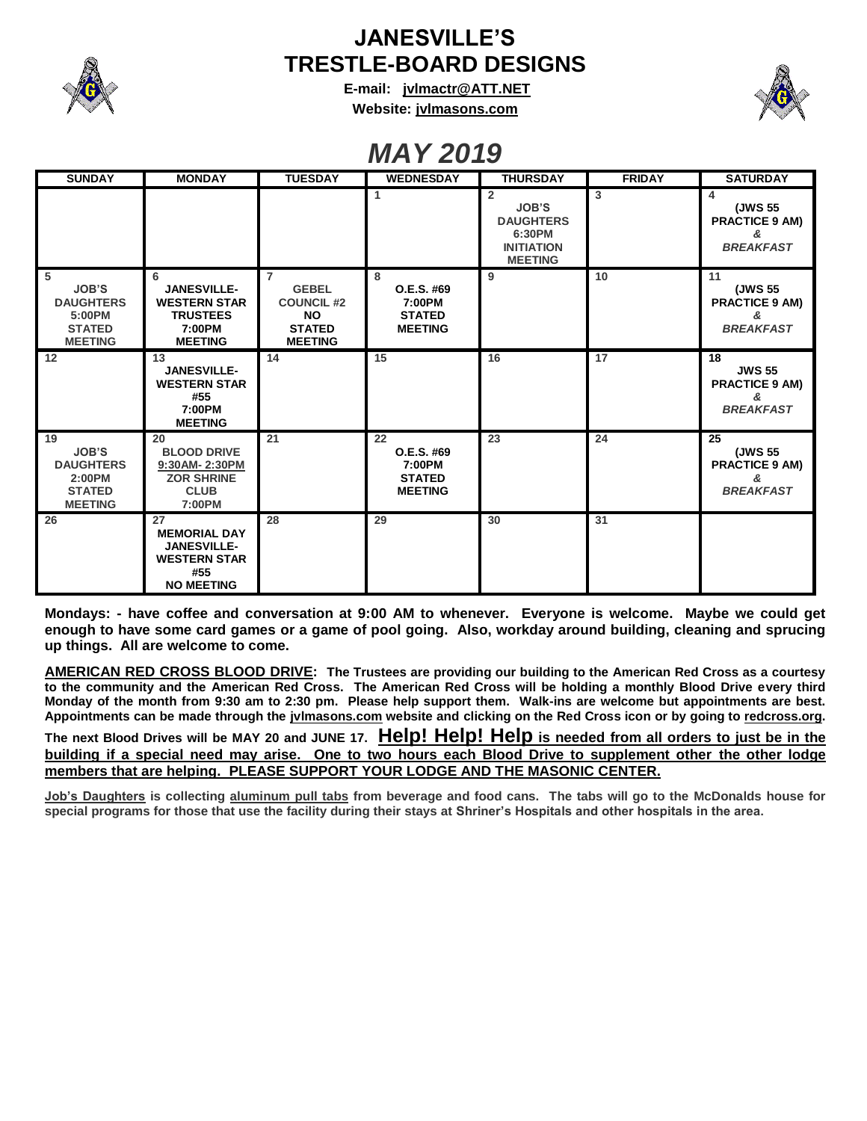

## **JANESVILLE'S TRESTLE-BOARD DESIGNS**

**E-mail: [jvlmactr@ATT.NET](mailto:jvlmactr@ATT.NET) Website: jvlmasons.com**



## *MAY 2019*

| <b>SUNDAY</b>                                                                       | <b>MONDAY</b>                                                                                      | <b>TUESDAY</b>                                                                                      | <b>WEDNESDAY</b>                                              | <b>THURSDAY</b>                                                                                     | <b>FRIDAY</b> | <b>SATURDAY</b>                                                  |
|-------------------------------------------------------------------------------------|----------------------------------------------------------------------------------------------------|-----------------------------------------------------------------------------------------------------|---------------------------------------------------------------|-----------------------------------------------------------------------------------------------------|---------------|------------------------------------------------------------------|
|                                                                                     |                                                                                                    |                                                                                                     | 1                                                             | $\overline{2}$<br><b>JOB'S</b><br><b>DAUGHTERS</b><br>6:30PM<br><b>INITIATION</b><br><b>MEETING</b> | 3             | 4<br>(JWS 55<br><b>PRACTICE 9 AM)</b><br>&<br><b>BREAKFAST</b>   |
| -5<br><b>JOB'S</b><br><b>DAUGHTERS</b><br>5:00PM<br><b>STATED</b><br><b>MEETING</b> | 6<br><b>JANESVILLE-</b><br><b>WESTERN STAR</b><br><b>TRUSTEES</b><br>7:00PM<br><b>MEETING</b>      | $\overline{7}$<br><b>GEBEL</b><br><b>COUNCIL #2</b><br><b>NO</b><br><b>STATED</b><br><b>MEETING</b> | 8<br>O.E.S. #69<br>7:00PM<br><b>STATED</b><br><b>MEETING</b>  | 9                                                                                                   | 10            | 11<br>(JWS 55<br><b>PRACTICE 9 AM)</b><br>&<br><b>BREAKFAST</b>  |
| 12                                                                                  | 13<br><b>JANESVILLE-</b><br><b>WESTERN STAR</b><br>#55<br>7:00PM<br><b>MEETING</b>                 | 14                                                                                                  | 15                                                            | 16                                                                                                  | 17            | 18<br><b>JWS 55</b><br><b>PRACTICE 9 AM)</b><br><b>BREAKFAST</b> |
| 19<br><b>JOB'S</b><br><b>DAUGHTERS</b><br>2:00PM<br><b>STATED</b><br><b>MEETING</b> | 20<br><b>BLOOD DRIVE</b><br>9:30AM-2:30PM<br><b>ZOR SHRINE</b><br><b>CLUB</b><br>7:00PM            | 21                                                                                                  | 22<br>O.E.S. #69<br>7:00PM<br><b>STATED</b><br><b>MEETING</b> | 23                                                                                                  | 24            | 25<br>(JWS 55<br><b>PRACTICE 9 AM)</b><br>&<br><b>BREAKFAST</b>  |
| 26                                                                                  | 27<br><b>MEMORIAL DAY</b><br><b>JANESVILLE-</b><br><b>WESTERN STAR</b><br>#55<br><b>NO MEETING</b> | 28                                                                                                  | 29                                                            | 30                                                                                                  | 31            |                                                                  |

**Mondays: - have coffee and conversation at 9:00 AM to whenever. Everyone is welcome. Maybe we could get enough to have some card games or a game of pool going. Also, workday around building, cleaning and sprucing up things. All are welcome to come.**

**AMERICAN RED CROSS BLOOD DRIVE: The Trustees are providing our building to the American Red Cross as a courtesy to the community and the American Red Cross. The American Red Cross will be holding a monthly Blood Drive every third Monday of the month from 9:30 am to 2:30 pm. Please help support them. Walk-ins are welcome but appointments are best. Appointments can be made through the jvlmasons.com website and clicking on the Red Cross icon or by going to redcross.org.** 

**The next Blood Drives will be MAY 20 and JUNE 17. Help! Help! Help is needed from all orders to just be in the building if a special need may arise. One to two hours each Blood Drive to supplement other the other lodge members that are helping. PLEASE SUPPORT YOUR LODGE AND THE MASONIC CENTER.**

**Job's Daughters is collecting aluminum pull tabs from beverage and food cans. The tabs will go to the McDonalds house for special programs for those that use the facility during their stays at Shriner's Hospitals and other hospitals in the area.**